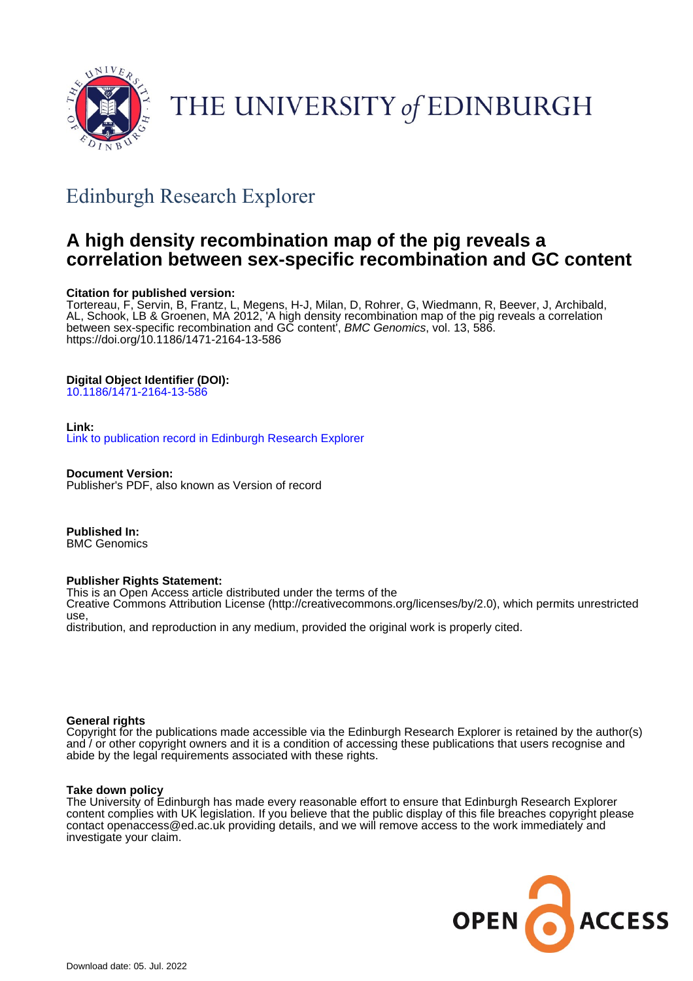

# THE UNIVERSITY of EDINBURGH

# Edinburgh Research Explorer

## **A high density recombination map of the pig reveals a correlation between sex-specific recombination and GC content**

## **Citation for published version:**

Tortereau, F, Servin, B, Frantz, L, Megens, H-J, Milan, D, Rohrer, G, Wiedmann, R, Beever, J, Archibald, AL, Schook, LB & Groenen, MA 2012, 'A high density recombination map of the pig reveals a correlation between sex-specific recombination and GC content<sup>'</sup>, BMC Genomics, vol. 13, 586. <https://doi.org/10.1186/1471-2164-13-586>

## **Digital Object Identifier (DOI):**

[10.1186/1471-2164-13-586](https://doi.org/10.1186/1471-2164-13-586)

#### **Link:**

[Link to publication record in Edinburgh Research Explorer](https://www.research.ed.ac.uk/en/publications/b2ea3d44-3ce3-4b69-b376-49553d563c18)

**Document Version:** Publisher's PDF, also known as Version of record

**Published In:** BMC Genomics

#### **Publisher Rights Statement:**

This is an Open Access article distributed under the terms of the

Creative Commons Attribution License (http://creativecommons.org/licenses/by/2.0), which permits unrestricted use,

distribution, and reproduction in any medium, provided the original work is properly cited.

#### **General rights**

Copyright for the publications made accessible via the Edinburgh Research Explorer is retained by the author(s) and / or other copyright owners and it is a condition of accessing these publications that users recognise and abide by the legal requirements associated with these rights.

#### **Take down policy**

The University of Edinburgh has made every reasonable effort to ensure that Edinburgh Research Explorer content complies with UK legislation. If you believe that the public display of this file breaches copyright please contact openaccess@ed.ac.uk providing details, and we will remove access to the work immediately and investigate your claim.

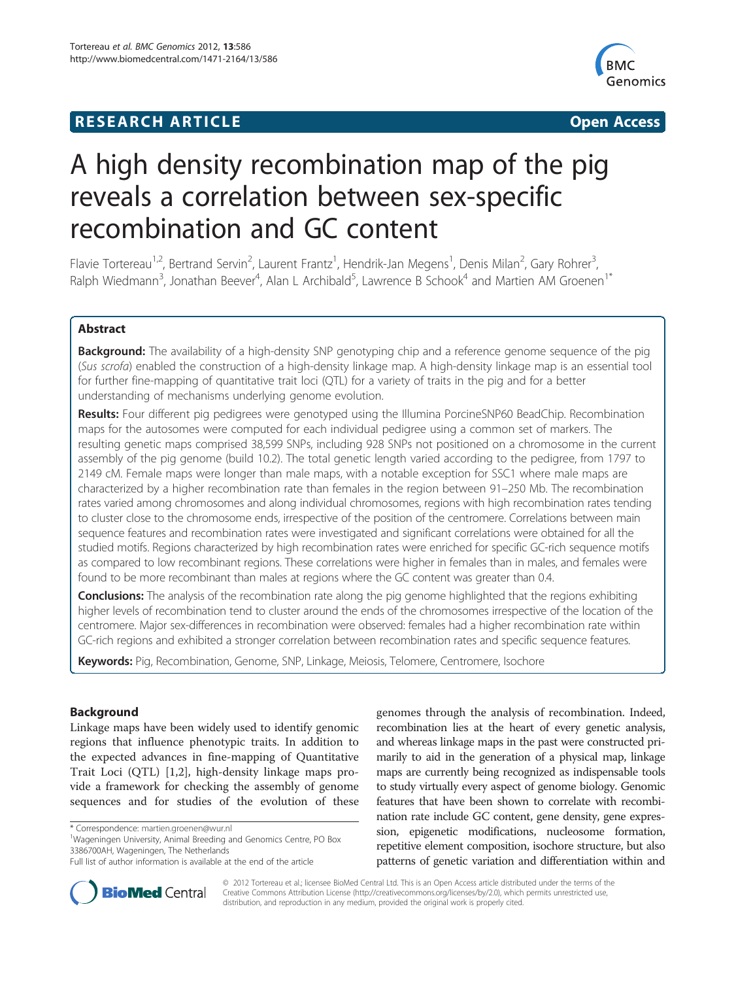## **RESEARCH ARTICLE Example 2014 CONSIDERING A RESEARCH ARTICLE**



# A high density recombination map of the pig reveals a correlation between sex-specific recombination and GC content

Flavie Tortereau<sup>1,2</sup>, Bertrand Servin<sup>2</sup>, Laurent Frantz<sup>1</sup>, Hendrik-Jan Megens<sup>1</sup>, Denis Milan<sup>2</sup>, Gary Rohrer<sup>3</sup> , Ralph Wiedmann<sup>3</sup>, Jonathan Beever<sup>4</sup>, Alan L Archibald<sup>5</sup>, Lawrence B Schook<sup>4</sup> and Martien AM Groenen<sup>1\*</sup>

## Abstract

**Background:** The availability of a high-density SNP genotyping chip and a reference genome sequence of the pig (Sus scrofa) enabled the construction of a high-density linkage map. A high-density linkage map is an essential tool for further fine-mapping of quantitative trait loci (QTL) for a variety of traits in the pig and for a better understanding of mechanisms underlying genome evolution.

Results: Four different pig pedigrees were genotyped using the Illumina PorcineSNP60 BeadChip. Recombination maps for the autosomes were computed for each individual pedigree using a common set of markers. The resulting genetic maps comprised 38,599 SNPs, including 928 SNPs not positioned on a chromosome in the current assembly of the pig genome (build 10.2). The total genetic length varied according to the pedigree, from 1797 to 2149 cM. Female maps were longer than male maps, with a notable exception for SSC1 where male maps are characterized by a higher recombination rate than females in the region between 91–250 Mb. The recombination rates varied among chromosomes and along individual chromosomes, regions with high recombination rates tending to cluster close to the chromosome ends, irrespective of the position of the centromere. Correlations between main sequence features and recombination rates were investigated and significant correlations were obtained for all the studied motifs. Regions characterized by high recombination rates were enriched for specific GC-rich sequence motifs as compared to low recombinant regions. These correlations were higher in females than in males, and females were found to be more recombinant than males at regions where the GC content was greater than 0.4.

**Conclusions:** The analysis of the recombination rate along the pig genome highlighted that the regions exhibiting higher levels of recombination tend to cluster around the ends of the chromosomes irrespective of the location of the centromere. Major sex-differences in recombination were observed: females had a higher recombination rate within GC-rich regions and exhibited a stronger correlation between recombination rates and specific sequence features.

Keywords: Pig, Recombination, Genome, SNP, Linkage, Meiosis, Telomere, Centromere, Isochore

#### Background

Linkage maps have been widely used to identify genomic regions that influence phenotypic traits. In addition to the expected advances in fine-mapping of Quantitative Trait Loci (QTL) [\[1,2](#page-11-0)], high-density linkage maps provide a framework for checking the assembly of genome sequences and for studies of the evolution of these

<sup>1</sup>Wageningen University, Animal Breeding and Genomics Centre, PO Box 3386700AH, Wageningen, The Netherlands

genomes through the analysis of recombination. Indeed, recombination lies at the heart of every genetic analysis, and whereas linkage maps in the past were constructed primarily to aid in the generation of a physical map, linkage maps are currently being recognized as indispensable tools to study virtually every aspect of genome biology. Genomic features that have been shown to correlate with recombination rate include GC content, gene density, gene expression, epigenetic modifications, nucleosome formation, repetitive element composition, isochore structure, but also patterns of genetic variation and differentiation within and



© 2012 Tortereau et al.; licensee BioMed Central Ltd. This is an Open Access article distributed under the terms of the Creative Commons Attribution License (<http://creativecommons.org/licenses/by/2.0>), which permits unrestricted use, distribution, and reproduction in any medium, provided the original work is properly cited.

<sup>\*</sup> Correspondence: [martien.groenen@wur.nl](mailto:martien.groenen@wur.nl) <sup>1</sup>

Full list of author information is available at the end of the article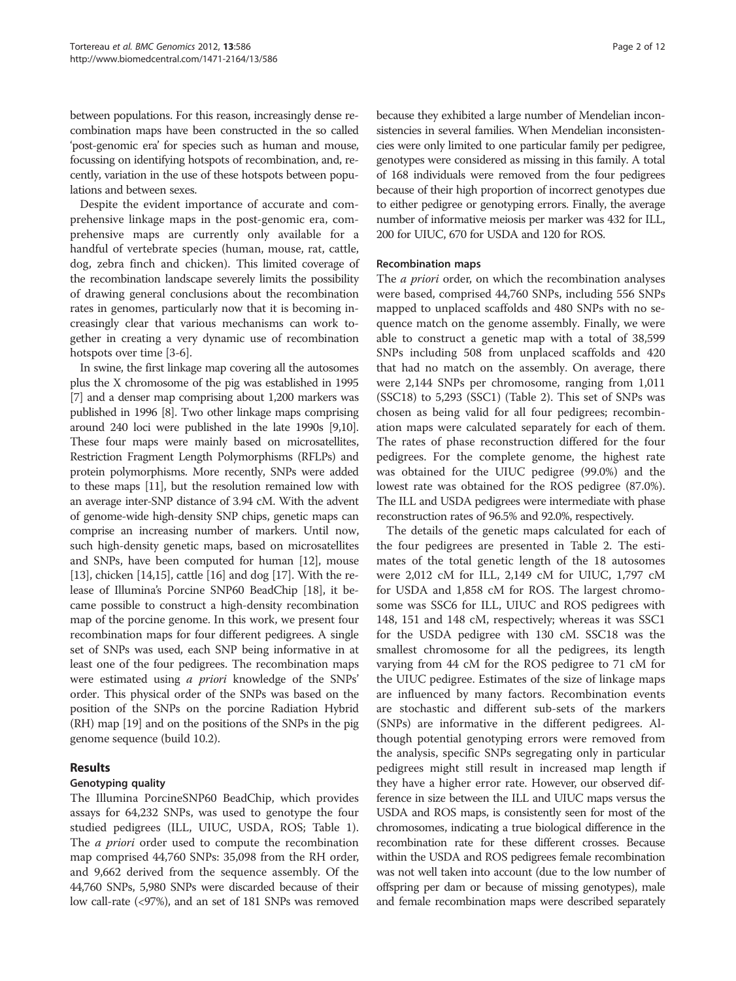between populations. For this reason, increasingly dense recombination maps have been constructed in the so called 'post-genomic era' for species such as human and mouse, focussing on identifying hotspots of recombination, and, recently, variation in the use of these hotspots between populations and between sexes.

Despite the evident importance of accurate and comprehensive linkage maps in the post-genomic era, comprehensive maps are currently only available for a handful of vertebrate species (human, mouse, rat, cattle, dog, zebra finch and chicken). This limited coverage of the recombination landscape severely limits the possibility of drawing general conclusions about the recombination rates in genomes, particularly now that it is becoming increasingly clear that various mechanisms can work together in creating a very dynamic use of recombination hotspots over time [\[3-6](#page-11-0)].

In swine, the first linkage map covering all the autosomes plus the X chromosome of the pig was established in 1995 [[7](#page-11-0)] and a denser map comprising about 1,200 markers was published in 1996 [[8](#page-11-0)]. Two other linkage maps comprising around 240 loci were published in the late 1990s [\[9,10](#page-11-0)]. These four maps were mainly based on microsatellites, Restriction Fragment Length Polymorphisms (RFLPs) and protein polymorphisms. More recently, SNPs were added to these maps [\[11\]](#page-11-0), but the resolution remained low with an average inter-SNP distance of 3.94 cM. With the advent of genome-wide high-density SNP chips, genetic maps can comprise an increasing number of markers. Until now, such high-density genetic maps, based on microsatellites and SNPs, have been computed for human [\[12\]](#page-11-0), mouse [[13](#page-11-0)], chicken [[14,15](#page-12-0)], cattle [\[16\]](#page-12-0) and dog [\[17\]](#page-12-0). With the release of Illumina's Porcine SNP60 BeadChip [\[18](#page-12-0)], it became possible to construct a high-density recombination map of the porcine genome. In this work, we present four recombination maps for four different pedigrees. A single set of SNPs was used, each SNP being informative in at least one of the four pedigrees. The recombination maps were estimated using a priori knowledge of the SNPs' order. This physical order of the SNPs was based on the position of the SNPs on the porcine Radiation Hybrid (RH) map [\[19\]](#page-12-0) and on the positions of the SNPs in the pig genome sequence (build 10.2).

## Results

#### Genotyping quality

The Illumina PorcineSNP60 BeadChip, which provides assays for 64,232 SNPs, was used to genotype the four studied pedigrees (ILL, UIUC, USDA, ROS; Table [1](#page-3-0)). The *a priori* order used to compute the recombination map comprised 44,760 SNPs: 35,098 from the RH order, and 9,662 derived from the sequence assembly. Of the 44,760 SNPs, 5,980 SNPs were discarded because of their low call-rate (<97%), and an set of 181 SNPs was removed

because they exhibited a large number of Mendelian inconsistencies in several families. When Mendelian inconsistencies were only limited to one particular family per pedigree, genotypes were considered as missing in this family. A total of 168 individuals were removed from the four pedigrees because of their high proportion of incorrect genotypes due to either pedigree or genotyping errors. Finally, the average number of informative meiosis per marker was 432 for ILL, 200 for UIUC, 670 for USDA and 120 for ROS.

#### Recombination maps

The *a priori* order, on which the recombination analyses were based, comprised 44,760 SNPs, including 556 SNPs mapped to unplaced scaffolds and 480 SNPs with no sequence match on the genome assembly. Finally, we were able to construct a genetic map with a total of 38,599 SNPs including 508 from unplaced scaffolds and 420 that had no match on the assembly. On average, there were 2,144 SNPs per chromosome, ranging from 1,011 (SSC18) to 5,293 (SSC1) (Table [2](#page-3-0)). This set of SNPs was chosen as being valid for all four pedigrees; recombination maps were calculated separately for each of them. The rates of phase reconstruction differed for the four pedigrees. For the complete genome, the highest rate was obtained for the UIUC pedigree (99.0%) and the lowest rate was obtained for the ROS pedigree (87.0%). The ILL and USDA pedigrees were intermediate with phase reconstruction rates of 96.5% and 92.0%, respectively.

The details of the genetic maps calculated for each of the four pedigrees are presented in Table [2](#page-3-0). The estimates of the total genetic length of the 18 autosomes were 2,012 cM for ILL, 2,149 cM for UIUC, 1,797 cM for USDA and 1,858 cM for ROS. The largest chromosome was SSC6 for ILL, UIUC and ROS pedigrees with 148, 151 and 148 cM, respectively; whereas it was SSC1 for the USDA pedigree with 130 cM. SSC18 was the smallest chromosome for all the pedigrees, its length varying from 44 cM for the ROS pedigree to 71 cM for the UIUC pedigree. Estimates of the size of linkage maps are influenced by many factors. Recombination events are stochastic and different sub-sets of the markers (SNPs) are informative in the different pedigrees. Although potential genotyping errors were removed from the analysis, specific SNPs segregating only in particular pedigrees might still result in increased map length if they have a higher error rate. However, our observed difference in size between the ILL and UIUC maps versus the USDA and ROS maps, is consistently seen for most of the chromosomes, indicating a true biological difference in the recombination rate for these different crosses. Because within the USDA and ROS pedigrees female recombination was not well taken into account (due to the low number of offspring per dam or because of missing genotypes), male and female recombination maps were described separately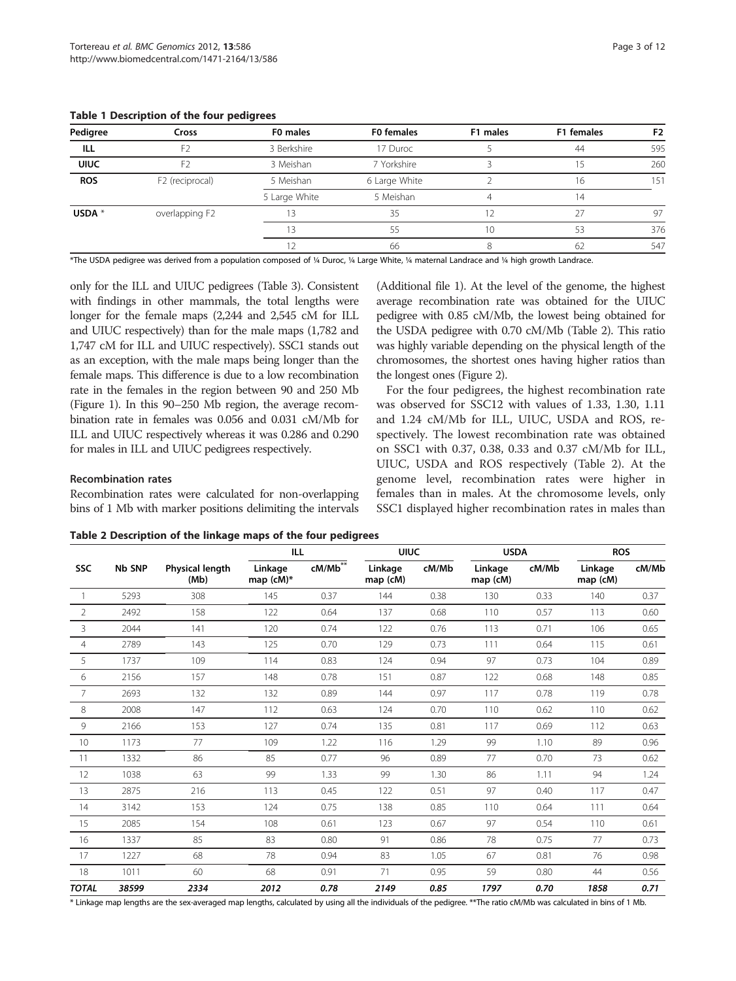<span id="page-3-0"></span>Table 1 Description of the four pedigrees

| Pedigree    | Cross           | F0 males      | F0 females    | F1 males | F1 females | F <sub>2</sub> |
|-------------|-----------------|---------------|---------------|----------|------------|----------------|
| ILL         | F <sub>2</sub>  | 3 Berkshire   | 17 Duroc      |          | 44         | 595            |
| <b>UIUC</b> | F2              | 3 Meishan     | 7 Yorkshire   |          | 15         | 260            |
| <b>ROS</b>  | F2 (reciprocal) | 5 Meishan     | 6 Large White |          | 16         | 151            |
|             |                 | 5 Large White | 5 Meishan     | 4        | 14         |                |
| USDA *      | overlapping F2  |               | 35            |          | 27         | 97             |
|             |                 | 3             | 55            | 10       | 53         | 376            |
|             |                 |               | 66            |          | 62         | 547            |

\*The USDA pedigree was derived from a population composed of ¼ Duroc, ¼ Large White, ¼ maternal Landrace and ¼ high growth Landrace.

only for the ILL and UIUC pedigrees (Table [3\)](#page-4-0). Consistent with findings in other mammals, the total lengths were longer for the female maps (2,244 and 2,545 cM for ILL and UIUC respectively) than for the male maps (1,782 and 1,747 cM for ILL and UIUC respectively). SSC1 stands out as an exception, with the male maps being longer than the female maps. This difference is due to a low recombination rate in the females in the region between 90 and 250 Mb (Figure [1\)](#page-4-0). In this 90–250 Mb region, the average recombination rate in females was 0.056 and 0.031 cM/Mb for ILL and UIUC respectively whereas it was 0.286 and 0.290 for males in ILL and UIUC pedigrees respectively.

#### Recombination rates

Recombination rates were calculated for non-overlapping bins of 1 Mb with marker positions delimiting the intervals

(Additional file [1](#page-11-0)). At the level of the genome, the highest average recombination rate was obtained for the UIUC pedigree with 0.85 cM/Mb, the lowest being obtained for the USDA pedigree with 0.70 cM/Mb (Table 2). This ratio was highly variable depending on the physical length of the chromosomes, the shortest ones having higher ratios than the longest ones (Figure [2\)](#page-4-0).

For the four pedigrees, the highest recombination rate was observed for SSC12 with values of 1.33, 1.30, 1.11 and 1.24 cM/Mb for ILL, UIUC, USDA and ROS, respectively. The lowest recombination rate was obtained on SSC1 with 0.37, 0.38, 0.33 and 0.37 cM/Mb for ILL, UIUC, USDA and ROS respectively (Table 2). At the genome level, recombination rates were higher in females than in males. At the chromosome levels, only SSC1 displayed higher recombination rates in males than

Table 2 Description of the linkage maps of the four pedigrees

|                |        |                         | ILL                     |             | <b>UIUC</b>         |       | <b>USDA</b>         |       | <b>ROS</b>          |       |  |
|----------------|--------|-------------------------|-------------------------|-------------|---------------------|-------|---------------------|-------|---------------------|-------|--|
| <b>SSC</b>     | Nb SNP | Physical length<br>(Mb) | Linkage<br>map $(cM)^*$ | cM/Mb**     | Linkage<br>map (cM) | cM/Mb | Linkage<br>map (cM) | cM/Mb | Linkage<br>map (cM) | cM/Mb |  |
|                | 5293   | 308                     | 145                     | 0.37        | 144                 | 0.38  | 130                 | 0.33  | 140                 | 0.37  |  |
| 2              | 2492   | 158                     | 122<br>0.64             |             | 137                 | 0.68  | 110                 | 0.57  | 113                 | 0.60  |  |
| 3              | 2044   | 141                     | 120                     | 0.74        | 122                 | 0.76  | 113                 | 0.71  | 106                 | 0.65  |  |
| $\overline{4}$ | 2789   | 143                     | 125                     | 129<br>0.70 |                     | 0.73  | 111<br>0.64         |       | 115                 | 0.61  |  |
| 5              | 1737   | 109                     | 114                     | 0.83        | 124                 | 0.94  | 97                  | 0.73  | 104                 |       |  |
| 6              | 2156   | 157                     | 148                     | 0.78        | 151                 | 0.87  | 122                 | 0.68  | 148                 | 0.85  |  |
| 7              | 2693   | 132                     | 132                     | 0.89        | 144<br>0.97         |       | 117                 | 0.78  | 119                 | 0.78  |  |
| 8              | 2008   | 147                     | 112                     | 0.63        | 124<br>0.70         |       | 110                 | 0.62  | 110                 | 0.62  |  |
| 9              | 2166   | 153                     | 127                     | 0.74        | 135                 | 0.81  | 117                 | 0.69  | 112                 | 0.63  |  |
| 10             | 1173   | 77                      | 109                     | 1.22        | 116                 | 1.29  | 99                  | 1.10  | 89                  | 0.96  |  |
| 11             | 1332   | 86                      | 85                      | 0.77        | 96                  | 0.89  | 77                  | 0.70  | 73                  | 0.62  |  |
| 12             | 1038   | 63                      | 99                      | 1.33        | 99                  | 1.30  | 86                  | 1.11  | 94                  | 1.24  |  |
| 13             | 2875   | 216                     | 113                     | 0.45        | 122                 | 0.51  | 97                  | 0.40  | 117                 | 0.47  |  |
| 14             | 3142   | 153                     | 124                     | 0.75        | 138                 | 0.85  | 110                 | 0.64  | 111                 | 0.64  |  |
| 15             | 2085   | 154                     | 108                     | 0.61        | 123                 | 0.67  | 97                  | 0.54  | 110                 | 0.61  |  |
| 16             | 1337   | 85                      | 83                      | 0.80        | 91                  | 0.86  | 78                  | 0.75  | 77                  | 0.73  |  |
| 17             | 1227   | 68                      | 78                      | 0.94        | 83                  | 1.05  | 67                  | 0.81  | 76                  | 0.98  |  |
| 18             | 1011   | 60                      | 68                      | 0.91        | 71                  | 0.95  | 59                  | 0.80  | 44                  | 0.56  |  |
| <b>TOTAL</b>   | 38599  | 2334                    | 2012                    | 0.78        | 2149                | 0.85  | 1797                | 0.70  | 1858                | 0.71  |  |

\* Linkage map lengths are the sex-averaged map lengths, calculated by using all the individuals of the pedigree. \*\*The ratio cM/Mb was calculated in bins of 1 Mb.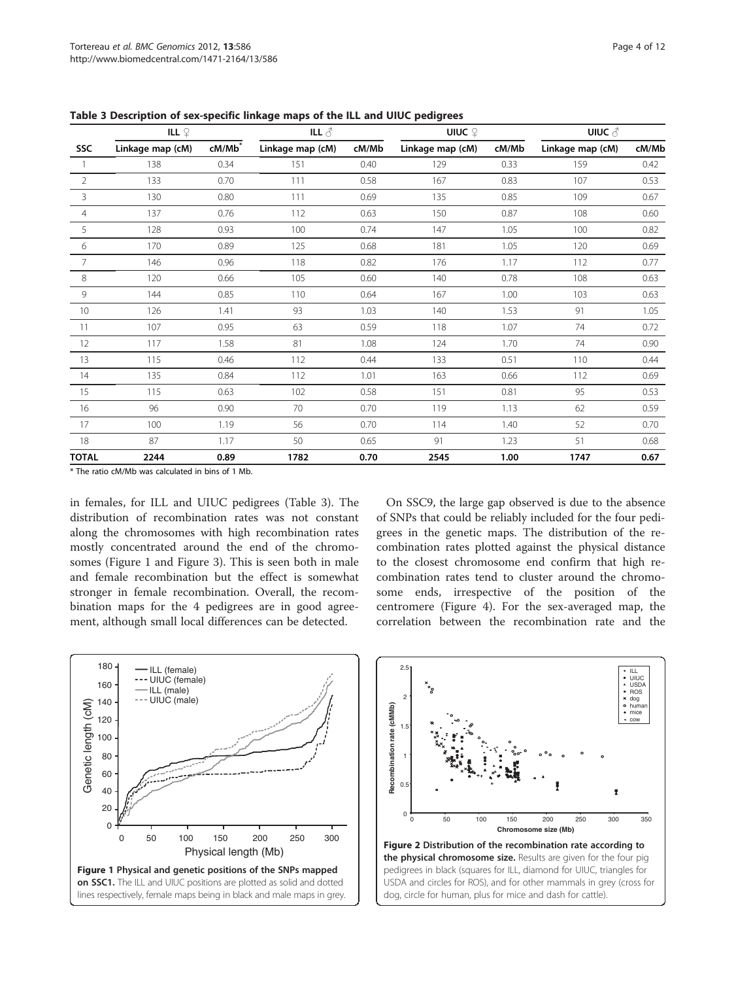|                | ILL $\varphi$    |       | ILL $\delta$     |       | UIUC $\sqrt{2}$  |       | UIUC $\delta$    |       |  |
|----------------|------------------|-------|------------------|-------|------------------|-------|------------------|-------|--|
| <b>SSC</b>     | Linkage map (cM) | cM/Mb | Linkage map (cM) | cM/Mb | Linkage map (cM) | cM/Mb | Linkage map (cM) | cM/Mb |  |
|                | 138              | 0.34  | 151              | 0.40  | 129              | 0.33  | 159              | 0.42  |  |
| $\overline{2}$ | 133              | 0.70  | 111              | 0.58  | 167              | 0.83  | 107              | 0.53  |  |
| $\overline{3}$ | 130              | 0.80  | 111              | 0.69  | 135              | 0.85  | 109              | 0.67  |  |
| $\overline{4}$ | 137              | 0.76  | 112              | 0.63  | 150              | 0.87  | 108              | 0.60  |  |
| 5              | 128              | 0.93  | 100              | 0.74  | 147              | 1.05  | 100              | 0.82  |  |
| 6              | 170              | 0.89  | 125              | 0.68  | 181              | 1.05  | 120              | 0.69  |  |
| $\overline{7}$ | 146              | 0.96  | 118              | 0.82  | 176              | 1.17  | 112              | 0.77  |  |
| 8              | 120              | 0.66  | 105              | 0.60  | 140              | 0.78  | 108              | 0.63  |  |
| 9              | 144              | 0.85  | 110              | 0.64  | 167              | 1.00  | 103              | 0.63  |  |
| 10             | 126              | 1.41  | 93               | 1.03  | 140              | 1.53  | 91               | 1.05  |  |
| 11             | 107              | 0.95  | 63               | 0.59  | 118              | 1.07  | 74               | 0.72  |  |
| 12             | 117              | 1.58  | 81               | 1.08  | 124              | 1.70  | 74               | 0.90  |  |
| 13             | 115              | 0.46  | 112              | 0.44  | 133              | 0.51  | 110              | 0.44  |  |
| 14             | 135              | 0.84  | 112              | 1.01  | 163              | 0.66  | 112              | 0.69  |  |
| 15             | 115              | 0.63  | 102              | 0.58  | 151              | 0.81  | 95               | 0.53  |  |
| 16             | 96               | 0.90  | 70               | 0.70  | 119              | 1.13  | 62               | 0.59  |  |
| 17             | 100              | 1.19  | 56               | 0.70  | 114              | 1.40  | 52               | 0.70  |  |
| 18             | 87               | 1.17  | 50               | 0.65  | 91               | 1.23  | 51               | 0.68  |  |
| <b>TOTAL</b>   | 2244             | 0.89  | 1782             | 0.70  | 2545             | 1.00  | 1747             | 0.67  |  |

<span id="page-4-0"></span>Table 3 Description of sex-specific linkage maps of the ILL and UIUC pedigrees

\* The ratio cM/Mb was calculated in bins of 1 Mb.

in females, for ILL and UIUC pedigrees (Table 3). The distribution of recombination rates was not constant along the chromosomes with high recombination rates mostly concentrated around the end of the chromosomes (Figure 1 and Figure [3](#page-5-0)). This is seen both in male and female recombination but the effect is somewhat stronger in female recombination. Overall, the recombination maps for the 4 pedigrees are in good agreement, although small local differences can be detected.

On SSC9, the large gap observed is due to the absence of SNPs that could be reliably included for the four pedigrees in the genetic maps. The distribution of the recombination rates plotted against the physical distance to the closest chromosome end confirm that high recombination rates tend to cluster around the chromosome ends, irrespective of the position of the centromere (Figure [4\)](#page-6-0). For the sex-averaged map, the correlation between the recombination rate and the





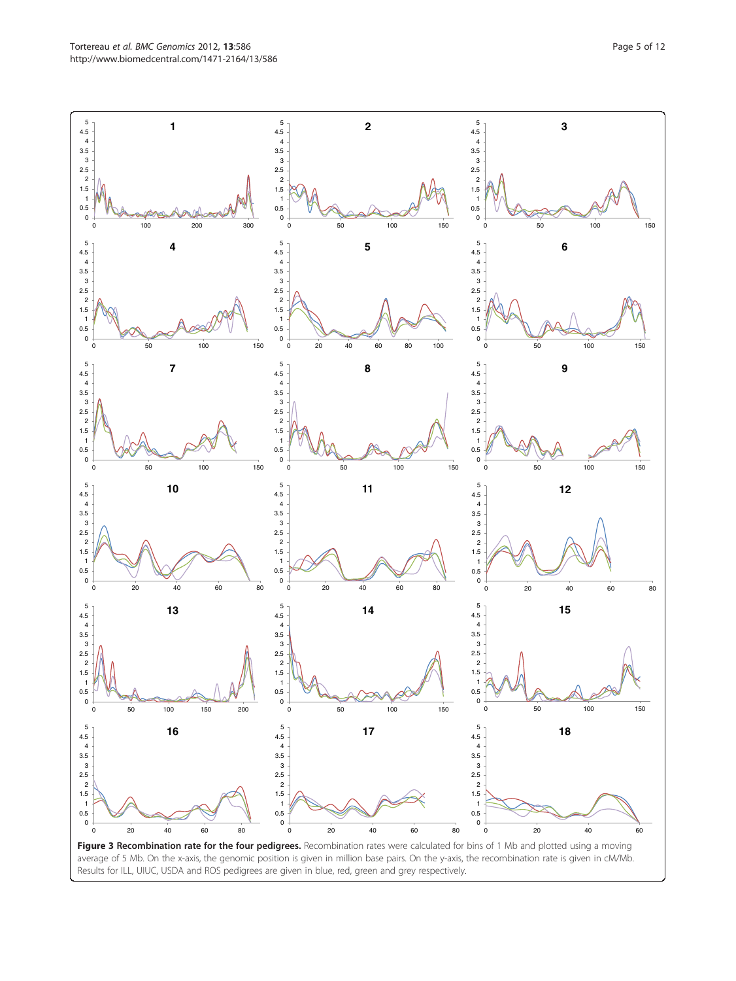<span id="page-5-0"></span>Tortereau et al. BMC Genomics 2012, 13:586 Page 5 of 12 http://www.biomedcentral.com/1471-2164/13/586



Results for ILL, UIUC, USDA and ROS pedigrees are given in blue, red, green and grey respectively.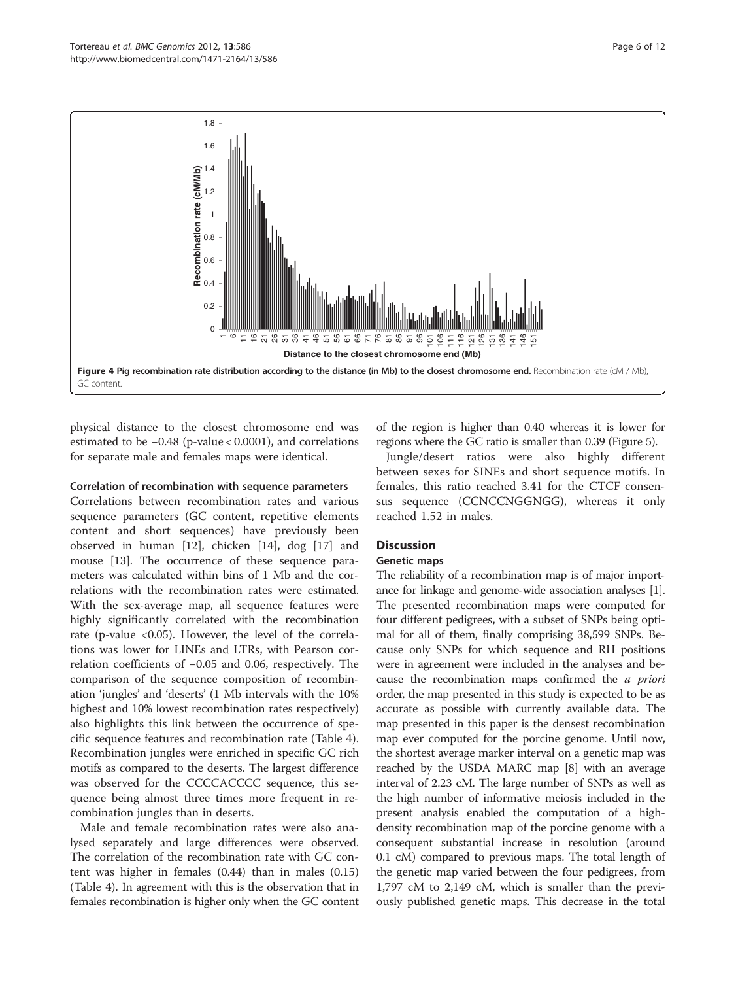<span id="page-6-0"></span>

physical distance to the closest chromosome end was estimated to be −0.48 (p-value < 0.0001), and correlations for separate male and females maps were identical.

## Correlation of recombination with sequence parameters

Correlations between recombination rates and various sequence parameters (GC content, repetitive elements content and short sequences) have previously been observed in human [\[12](#page-11-0)], chicken [[14\]](#page-12-0), dog [[17\]](#page-12-0) and mouse [\[13](#page-11-0)]. The occurrence of these sequence parameters was calculated within bins of 1 Mb and the correlations with the recombination rates were estimated. With the sex-average map, all sequence features were highly significantly correlated with the recombination rate (p-value  $< 0.05$ ). However, the level of the correlations was lower for LINEs and LTRs, with Pearson correlation coefficients of −0.05 and 0.06, respectively. The comparison of the sequence composition of recombination 'jungles' and 'deserts' (1 Mb intervals with the 10% highest and 10% lowest recombination rates respectively) also highlights this link between the occurrence of specific sequence features and recombination rate (Table [4](#page-7-0)). Recombination jungles were enriched in specific GC rich motifs as compared to the deserts. The largest difference was observed for the CCCCACCCC sequence, this sequence being almost three times more frequent in recombination jungles than in deserts.

Male and female recombination rates were also analysed separately and large differences were observed. The correlation of the recombination rate with GC content was higher in females (0.44) than in males (0.15) (Table [4](#page-7-0)). In agreement with this is the observation that in females recombination is higher only when the GC content of the region is higher than 0.40 whereas it is lower for regions where the GC ratio is smaller than 0.39 (Figure [5](#page-7-0)).

Jungle/desert ratios were also highly different between sexes for SINEs and short sequence motifs. In females, this ratio reached 3.41 for the CTCF consensus sequence (CCNCCNGGNGG), whereas it only reached 1.52 in males.

## **Discussion**

#### Genetic maps

The reliability of a recombination map is of major importance for linkage and genome-wide association analyses [[1](#page-11-0)]. The presented recombination maps were computed for four different pedigrees, with a subset of SNPs being optimal for all of them, finally comprising 38,599 SNPs. Because only SNPs for which sequence and RH positions were in agreement were included in the analyses and because the recombination maps confirmed the a priori order, the map presented in this study is expected to be as accurate as possible with currently available data. The map presented in this paper is the densest recombination map ever computed for the porcine genome. Until now, the shortest average marker interval on a genetic map was reached by the USDA MARC map [\[8](#page-11-0)] with an average interval of 2.23 cM. The large number of SNPs as well as the high number of informative meiosis included in the present analysis enabled the computation of a highdensity recombination map of the porcine genome with a consequent substantial increase in resolution (around 0.1 cM) compared to previous maps. The total length of the genetic map varied between the four pedigrees, from 1,797 cM to 2,149 cM, which is smaller than the previously published genetic maps. This decrease in the total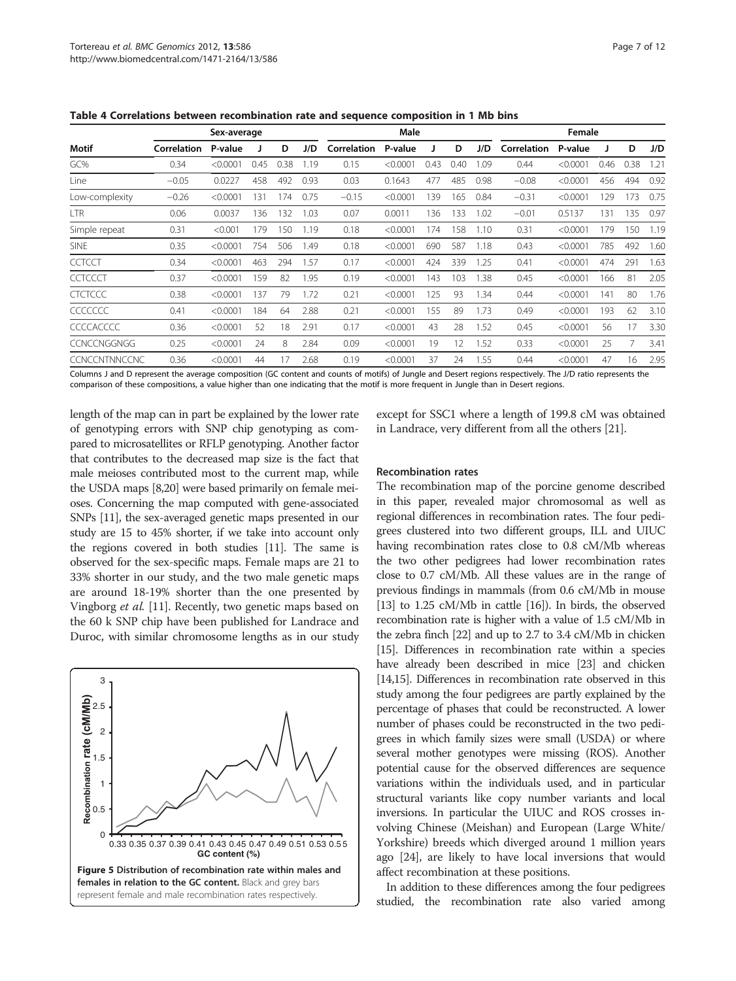|                      | Sex-average |          |      |      |      |                    | Male     | Female |      |      |             |          |      |      |      |
|----------------------|-------------|----------|------|------|------|--------------------|----------|--------|------|------|-------------|----------|------|------|------|
| Motif                | Correlation | P-value  |      | D    | J/D  | <b>Correlation</b> | P-value  |        | D    | J/D  | Correlation | P-value  |      | D    | J/D  |
| GC%                  | 0.34        | < 0.0001 | 0.45 | 0.38 | 1.19 | 0.15               | < 0.0001 | 0.43   | 0.40 | 1.09 | 0.44        | < 0.0001 | 0.46 | 0.38 | 1.21 |
| Line                 | $-0.05$     | 0.0227   | 458  | 492  | 0.93 | 0.03               | 0.1643   | 477    | 485  | 0.98 | $-0.08$     | < 0.0001 | 456  | 494  | 0.92 |
| Low-complexity       | $-0.26$     | < 0.0001 | 131  | 174  | 0.75 | $-0.15$            | < 0.0001 | 139    | 165  | 0.84 | $-0.31$     | < 0.0001 | 129  | 173  | 0.75 |
| <b>LTR</b>           | 0.06        | 0.0037   | 136  | 132  | 1.03 | 0.07               | 0.0011   | 136    | 133  | 1.02 | $-0.01$     | 0.5137   | 131  | 135  | 0.97 |
| Simple repeat        | 0.31        | < 0.001  | 179  | 150  | 1.19 | 0.18               | < 0.0001 | 174    | 158  | 1.10 | 0.31        | < 0.0001 | 179  | 150  | 1.19 |
| <b>SINE</b>          | 0.35        | < 0.0001 | 754  | 506  | 1.49 | 0.18               | < 0.0001 | 690    | 587  | 1.18 | 0.43        | < 0.0001 | 785  | 492  | 1.60 |
| <b>CCTCCT</b>        | 0.34        | < 0.0001 | 463  | 294  | 1.57 | 0.17               | < 0.0001 | 424    | 339  | 1.25 | 0.41        | < 0.0001 | 474  | 291  | 1.63 |
| CCTCCCT              | 0.37        | < 0.0001 | 159  | 82   | 1.95 | 0.19               | < 0.0001 | 143    | 103  | 1.38 | 0.45        | < 0.0001 | 166  | 81   | 2.05 |
| <b>CTCTCCC</b>       | 0.38        | < 0.0001 | 137  | 79   | 1.72 | 0.21               | < 0.0001 | 125    | 93   | 1.34 | 0.44        | < 0.0001 | 141  | 80   | 1.76 |
| CCCCCCC              | 0.41        | < 0.0001 | 184  | 64   | 2.88 | 0.21               | < 0.0001 | 155    | 89   | 1.73 | 0.49        | < 0.0001 | 193  | 62   | 3.10 |
| CCCCACCCC            | 0.36        | < 0.0001 | 52   | 18   | 2.91 | 0.17               | < 0.0001 | 43     | 28   | 1.52 | 0.45        | < 0.0001 | 56   | 17   | 3.30 |
| CCNCCNGGNGG          | 0.25        | < 0.0001 | 24   | 8    | 2.84 | 0.09               | < 0.0001 | 19     | 12   | 1.52 | 0.33        | < 0.0001 | 25   | 7    | 3.41 |
| <b>CCNCCNTNNCCNC</b> | 0.36        | < 0.0001 | 44   | 17   | 2.68 | 0.19               | < 0.0001 | 37     | 24   | 1.55 | 0.44        | < 0.0001 | 47   | 16   | 2.95 |

<span id="page-7-0"></span>Table 4 Correlations between recombination rate and sequence composition in 1 Mb bins

Columns J and D represent the average composition (GC content and counts of motifs) of Jungle and Desert regions respectively. The J/D ratio represents the comparison of these compositions, a value higher than one indicating that the motif is more frequent in Jungle than in Desert regions.

length of the map can in part be explained by the lower rate of genotyping errors with SNP chip genotyping as compared to microsatellites or RFLP genotyping. Another factor that contributes to the decreased map size is the fact that male meioses contributed most to the current map, while the USDA maps [\[8,](#page-11-0)[20](#page-12-0)] were based primarily on female meioses. Concerning the map computed with gene-associated SNPs [[11](#page-11-0)], the sex-averaged genetic maps presented in our study are 15 to 45% shorter, if we take into account only the regions covered in both studies [\[11\]](#page-11-0). The same is observed for the sex-specific maps. Female maps are 21 to 33% shorter in our study, and the two male genetic maps are around 18-19% shorter than the one presented by Vingborg et al. [\[11](#page-11-0)]. Recently, two genetic maps based on the 60 k SNP chip have been published for Landrace and Duroc, with similar chromosome lengths as in our study



except for SSC1 where a length of 199.8 cM was obtained in Landrace, very different from all the others [\[21](#page-12-0)].

#### Recombination rates

The recombination map of the porcine genome described in this paper, revealed major chromosomal as well as regional differences in recombination rates. The four pedigrees clustered into two different groups, ILL and UIUC having recombination rates close to 0.8 cM/Mb whereas the two other pedigrees had lower recombination rates close to 0.7 cM/Mb. All these values are in the range of previous findings in mammals (from 0.6 cM/Mb in mouse [[13](#page-11-0)] to 1.25 cM/Mb in cattle [[16](#page-12-0)]). In birds, the observed recombination rate is higher with a value of 1.5 cM/Mb in the zebra finch [\[22\]](#page-12-0) and up to 2.7 to 3.4 cM/Mb in chicken [[15](#page-12-0)]. Differences in recombination rate within a species have already been described in mice [[23](#page-12-0)] and chicken [[14,15\]](#page-12-0). Differences in recombination rate observed in this study among the four pedigrees are partly explained by the percentage of phases that could be reconstructed. A lower number of phases could be reconstructed in the two pedigrees in which family sizes were small (USDA) or where several mother genotypes were missing (ROS). Another potential cause for the observed differences are sequence variations within the individuals used, and in particular structural variants like copy number variants and local inversions. In particular the UIUC and ROS crosses involving Chinese (Meishan) and European (Large White/ Yorkshire) breeds which diverged around 1 million years ago [[24](#page-12-0)], are likely to have local inversions that would affect recombination at these positions.

In addition to these differences among the four pedigrees studied, the recombination rate also varied among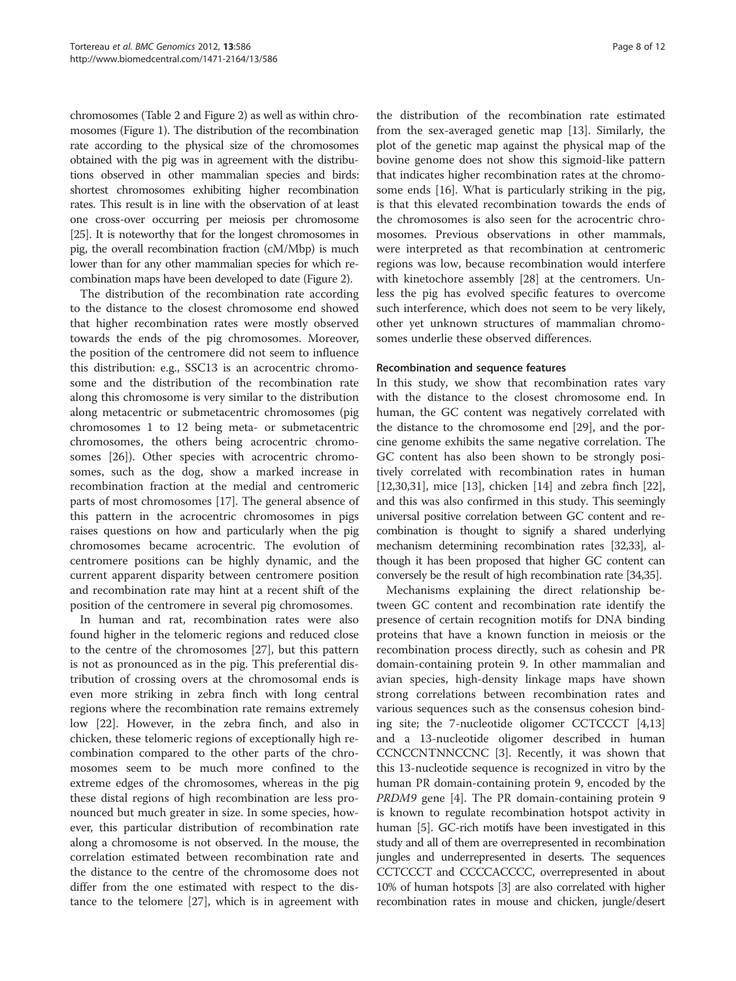chromosomes (Table [2](#page-3-0) and Figure [2](#page-4-0)) as well as within chromosomes (Figure [1](#page-4-0)). The distribution of the recombination rate according to the physical size of the chromosomes obtained with the pig was in agreement with the distributions observed in other mammalian species and birds: shortest chromosomes exhibiting higher recombination rates. This result is in line with the observation of at least one cross-over occurring per meiosis per chromosome [[25](#page-12-0)]. It is noteworthy that for the longest chromosomes in pig, the overall recombination fraction (cM/Mbp) is much lower than for any other mammalian species for which recombination maps have been developed to date (Figure [2](#page-4-0)).

The distribution of the recombination rate according to the distance to the closest chromosome end showed that higher recombination rates were mostly observed towards the ends of the pig chromosomes. Moreover, the position of the centromere did not seem to influence this distribution: e.g., SSC13 is an acrocentric chromosome and the distribution of the recombination rate along this chromosome is very similar to the distribution along metacentric or submetacentric chromosomes (pig chromosomes 1 to 12 being meta- or submetacentric chromosomes, the others being acrocentric chromo-somes [\[26\]](#page-12-0)). Other species with acrocentric chromosomes, such as the dog, show a marked increase in recombination fraction at the medial and centromeric parts of most chromosomes [[17](#page-12-0)]. The general absence of this pattern in the acrocentric chromosomes in pigs raises questions on how and particularly when the pig chromosomes became acrocentric. The evolution of centromere positions can be highly dynamic, and the current apparent disparity between centromere position and recombination rate may hint at a recent shift of the position of the centromere in several pig chromosomes.

In human and rat, recombination rates were also found higher in the telomeric regions and reduced close to the centre of the chromosomes [[27](#page-12-0)], but this pattern is not as pronounced as in the pig. This preferential distribution of crossing overs at the chromosomal ends is even more striking in zebra finch with long central regions where the recombination rate remains extremely low [[22\]](#page-12-0). However, in the zebra finch, and also in chicken, these telomeric regions of exceptionally high recombination compared to the other parts of the chromosomes seem to be much more confined to the extreme edges of the chromosomes, whereas in the pig these distal regions of high recombination are less pronounced but much greater in size. In some species, however, this particular distribution of recombination rate along a chromosome is not observed. In the mouse, the correlation estimated between recombination rate and the distance to the centre of the chromosome does not differ from the one estimated with respect to the distance to the telomere [\[27](#page-12-0)], which is in agreement with

the distribution of the recombination rate estimated from the sex-averaged genetic map [\[13\]](#page-11-0). Similarly, the plot of the genetic map against the physical map of the bovine genome does not show this sigmoid-like pattern that indicates higher recombination rates at the chromosome ends [[16](#page-12-0)]. What is particularly striking in the pig, is that this elevated recombination towards the ends of the chromosomes is also seen for the acrocentric chromosomes. Previous observations in other mammals, were interpreted as that recombination at centromeric regions was low, because recombination would interfere with kinetochore assembly [[28](#page-12-0)] at the centromers. Unless the pig has evolved specific features to overcome such interference, which does not seem to be very likely, other yet unknown structures of mammalian chromosomes underlie these observed differences.

#### Recombination and sequence features

In this study, we show that recombination rates vary with the distance to the closest chromosome end. In human, the GC content was negatively correlated with the distance to the chromosome end [[29\]](#page-12-0), and the porcine genome exhibits the same negative correlation. The GC content has also been shown to be strongly positively correlated with recombination rates in human [[12,](#page-11-0)[30,31\]](#page-12-0), mice [\[13](#page-11-0)], chicken [[14](#page-12-0)] and zebra finch [\[22](#page-12-0)], and this was also confirmed in this study. This seemingly universal positive correlation between GC content and recombination is thought to signify a shared underlying mechanism determining recombination rates [\[32,33](#page-12-0)], although it has been proposed that higher GC content can conversely be the result of high recombination rate [[34,35\]](#page-12-0).

Mechanisms explaining the direct relationship between GC content and recombination rate identify the presence of certain recognition motifs for DNA binding proteins that have a known function in meiosis or the recombination process directly, such as cohesin and PR domain-containing protein 9. In other mammalian and avian species, high-density linkage maps have shown strong correlations between recombination rates and various sequences such as the consensus cohesion binding site; the 7-nucleotide oligomer CCTCCCT [[4](#page-11-0),[13](#page-11-0)] and a 13-nucleotide oligomer described in human CCNCCNTNNCCNC [[3\]](#page-11-0). Recently, it was shown that this 13-nucleotide sequence is recognized in vitro by the human PR domain-containing protein 9, encoded by the PRDM9 gene [[4\]](#page-11-0). The PR domain-containing protein 9 is known to regulate recombination hotspot activity in human [[5](#page-11-0)]. GC-rich motifs have been investigated in this study and all of them are overrepresented in recombination jungles and underrepresented in deserts. The sequences CCTCCCT and CCCCACCCC, overrepresented in about 10% of human hotspots [\[3\]](#page-11-0) are also correlated with higher recombination rates in mouse and chicken, jungle/desert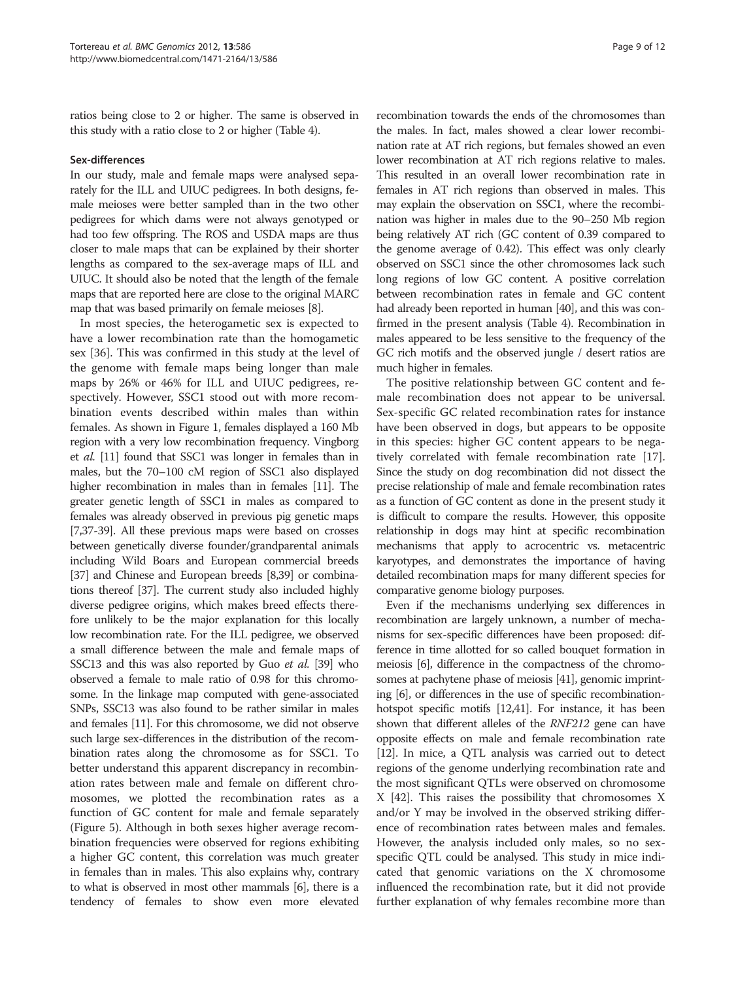ratios being close to 2 or higher. The same is observed in this study with a ratio close to 2 or higher (Table [4](#page-7-0)).

#### Sex-differences

In our study, male and female maps were analysed separately for the ILL and UIUC pedigrees. In both designs, female meioses were better sampled than in the two other pedigrees for which dams were not always genotyped or had too few offspring. The ROS and USDA maps are thus closer to male maps that can be explained by their shorter lengths as compared to the sex-average maps of ILL and UIUC. It should also be noted that the length of the female maps that are reported here are close to the original MARC map that was based primarily on female meioses [\[8\]](#page-11-0).

In most species, the heterogametic sex is expected to have a lower recombination rate than the homogametic sex [\[36\]](#page-12-0). This was confirmed in this study at the level of the genome with female maps being longer than male maps by 26% or 46% for ILL and UIUC pedigrees, respectively. However, SSC1 stood out with more recombination events described within males than within females. As shown in Figure [1,](#page-4-0) females displayed a 160 Mb region with a very low recombination frequency. Vingborg et al. [\[11](#page-11-0)] found that SSC1 was longer in females than in males, but the 70–100 cM region of SSC1 also displayed higher recombination in males than in females [\[11\]](#page-11-0). The greater genetic length of SSC1 in males as compared to females was already observed in previous pig genetic maps [[7](#page-11-0)[,37-39\]](#page-12-0). All these previous maps were based on crosses between genetically diverse founder/grandparental animals including Wild Boars and European commercial breeds [[37](#page-12-0)] and Chinese and European breeds [[8](#page-11-0)[,39\]](#page-12-0) or combinations thereof [\[37\]](#page-12-0). The current study also included highly diverse pedigree origins, which makes breed effects therefore unlikely to be the major explanation for this locally low recombination rate. For the ILL pedigree, we observed a small difference between the male and female maps of SSC13 and this was also reported by Guo et al. [\[39\]](#page-12-0) who observed a female to male ratio of 0.98 for this chromosome. In the linkage map computed with gene-associated SNPs, SSC13 was also found to be rather similar in males and females [\[11](#page-11-0)]. For this chromosome, we did not observe such large sex-differences in the distribution of the recombination rates along the chromosome as for SSC1. To better understand this apparent discrepancy in recombination rates between male and female on different chromosomes, we plotted the recombination rates as a function of GC content for male and female separately (Figure [5](#page-7-0)). Although in both sexes higher average recombination frequencies were observed for regions exhibiting a higher GC content, this correlation was much greater in females than in males. This also explains why, contrary to what is observed in most other mammals [\[6](#page-11-0)], there is a tendency of females to show even more elevated

recombination towards the ends of the chromosomes than the males. In fact, males showed a clear lower recombination rate at AT rich regions, but females showed an even lower recombination at AT rich regions relative to males. This resulted in an overall lower recombination rate in females in AT rich regions than observed in males. This may explain the observation on SSC1, where the recombination was higher in males due to the 90–250 Mb region being relatively AT rich (GC content of 0.39 compared to the genome average of 0.42). This effect was only clearly observed on SSC1 since the other chromosomes lack such long regions of low GC content. A positive correlation between recombination rates in female and GC content had already been reported in human [[40](#page-12-0)], and this was confirmed in the present analysis (Table [4](#page-7-0)). Recombination in males appeared to be less sensitive to the frequency of the GC rich motifs and the observed jungle / desert ratios are much higher in females.

The positive relationship between GC content and female recombination does not appear to be universal. Sex-specific GC related recombination rates for instance have been observed in dogs, but appears to be opposite in this species: higher GC content appears to be negatively correlated with female recombination rate [\[17](#page-12-0)]. Since the study on dog recombination did not dissect the precise relationship of male and female recombination rates as a function of GC content as done in the present study it is difficult to compare the results. However, this opposite relationship in dogs may hint at specific recombination mechanisms that apply to acrocentric vs. metacentric karyotypes, and demonstrates the importance of having detailed recombination maps for many different species for comparative genome biology purposes.

Even if the mechanisms underlying sex differences in recombination are largely unknown, a number of mechanisms for sex-specific differences have been proposed: difference in time allotted for so called bouquet formation in meiosis [\[6](#page-11-0)], difference in the compactness of the chromosomes at pachytene phase of meiosis [\[41](#page-12-0)], genomic imprinting [\[6\]](#page-11-0), or differences in the use of specific recombinationhotspot specific motifs [[12](#page-11-0)[,41\]](#page-12-0). For instance, it has been shown that different alleles of the RNF212 gene can have opposite effects on male and female recombination rate [[12](#page-11-0)]. In mice, a QTL analysis was carried out to detect regions of the genome underlying recombination rate and the most significant QTLs were observed on chromosome X [\[42\]](#page-12-0). This raises the possibility that chromosomes X and/or Y may be involved in the observed striking difference of recombination rates between males and females. However, the analysis included only males, so no sexspecific QTL could be analysed. This study in mice indicated that genomic variations on the X chromosome influenced the recombination rate, but it did not provide further explanation of why females recombine more than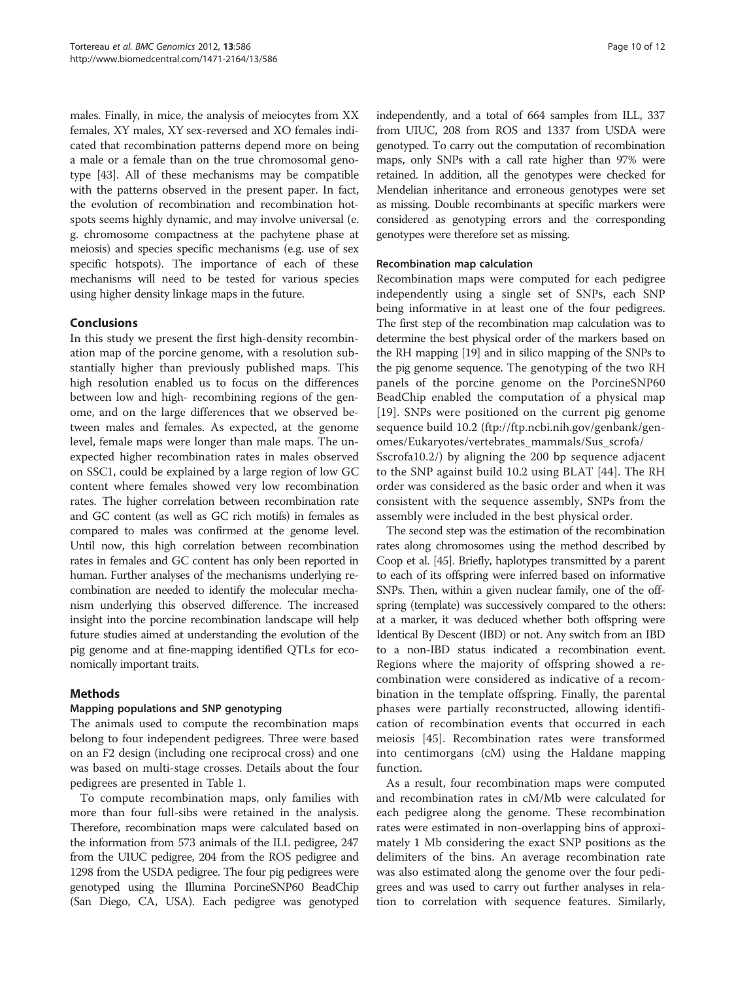males. Finally, in mice, the analysis of meiocytes from XX females, XY males, XY sex-reversed and XO females indicated that recombination patterns depend more on being a male or a female than on the true chromosomal genotype [\[43](#page-12-0)]. All of these mechanisms may be compatible with the patterns observed in the present paper. In fact, the evolution of recombination and recombination hotspots seems highly dynamic, and may involve universal (e. g. chromosome compactness at the pachytene phase at meiosis) and species specific mechanisms (e.g. use of sex specific hotspots). The importance of each of these mechanisms will need to be tested for various species using higher density linkage maps in the future.

#### Conclusions

In this study we present the first high-density recombination map of the porcine genome, with a resolution substantially higher than previously published maps. This high resolution enabled us to focus on the differences between low and high- recombining regions of the genome, and on the large differences that we observed between males and females. As expected, at the genome level, female maps were longer than male maps. The unexpected higher recombination rates in males observed on SSC1, could be explained by a large region of low GC content where females showed very low recombination rates. The higher correlation between recombination rate and GC content (as well as GC rich motifs) in females as compared to males was confirmed at the genome level. Until now, this high correlation between recombination rates in females and GC content has only been reported in human. Further analyses of the mechanisms underlying recombination are needed to identify the molecular mechanism underlying this observed difference. The increased insight into the porcine recombination landscape will help future studies aimed at understanding the evolution of the pig genome and at fine-mapping identified QTLs for economically important traits.

## Methods

#### Mapping populations and SNP genotyping

The animals used to compute the recombination maps belong to four independent pedigrees. Three were based on an F2 design (including one reciprocal cross) and one was based on multi-stage crosses. Details about the four pedigrees are presented in Table [1.](#page-3-0)

To compute recombination maps, only families with more than four full-sibs were retained in the analysis. Therefore, recombination maps were calculated based on the information from 573 animals of the ILL pedigree, 247 from the UIUC pedigree, 204 from the ROS pedigree and 1298 from the USDA pedigree. The four pig pedigrees were genotyped using the Illumina PorcineSNP60 BeadChip (San Diego, CA, USA). Each pedigree was genotyped independently, and a total of 664 samples from ILL, 337 from UIUC, 208 from ROS and 1337 from USDA were genotyped. To carry out the computation of recombination maps, only SNPs with a call rate higher than 97% were retained. In addition, all the genotypes were checked for Mendelian inheritance and erroneous genotypes were set as missing. Double recombinants at specific markers were considered as genotyping errors and the corresponding genotypes were therefore set as missing.

#### Recombination map calculation

Recombination maps were computed for each pedigree independently using a single set of SNPs, each SNP being informative in at least one of the four pedigrees. The first step of the recombination map calculation was to determine the best physical order of the markers based on the RH mapping [[19](#page-12-0)] and in silico mapping of the SNPs to the pig genome sequence. The genotyping of the two RH panels of the porcine genome on the PorcineSNP60 BeadChip enabled the computation of a physical map [[19\]](#page-12-0). SNPs were positioned on the current pig genome sequence build 10.2 ([ftp://ftp.ncbi.nih.gov/genbank/gen](ftp://ftp.ncbi.nih.gov/genbank/genomes/Eukaryotes/vertebrates_mammals/Sus_scrofa/Sscrofa10.2/)[omes/Eukaryotes/vertebrates\\_mammals/Sus\\_scrofa/](ftp://ftp.ncbi.nih.gov/genbank/genomes/Eukaryotes/vertebrates_mammals/Sus_scrofa/Sscrofa10.2/) [Sscrofa10.2/\)](ftp://ftp.ncbi.nih.gov/genbank/genomes/Eukaryotes/vertebrates_mammals/Sus_scrofa/Sscrofa10.2/) by aligning the 200 bp sequence adjacent to the SNP against build 10.2 using BLAT [[44\]](#page-12-0). The RH order was considered as the basic order and when it was consistent with the sequence assembly, SNPs from the assembly were included in the best physical order.

The second step was the estimation of the recombination rates along chromosomes using the method described by Coop et al. [[45](#page-12-0)]. Briefly, haplotypes transmitted by a parent to each of its offspring were inferred based on informative SNPs. Then, within a given nuclear family, one of the offspring (template) was successively compared to the others: at a marker, it was deduced whether both offspring were Identical By Descent (IBD) or not. Any switch from an IBD to a non-IBD status indicated a recombination event. Regions where the majority of offspring showed a recombination were considered as indicative of a recombination in the template offspring. Finally, the parental phases were partially reconstructed, allowing identification of recombination events that occurred in each meiosis [[45](#page-12-0)]. Recombination rates were transformed into centimorgans (cM) using the Haldane mapping function.

As a result, four recombination maps were computed and recombination rates in cM/Mb were calculated for each pedigree along the genome. These recombination rates were estimated in non-overlapping bins of approximately 1 Mb considering the exact SNP positions as the delimiters of the bins. An average recombination rate was also estimated along the genome over the four pedigrees and was used to carry out further analyses in relation to correlation with sequence features. Similarly,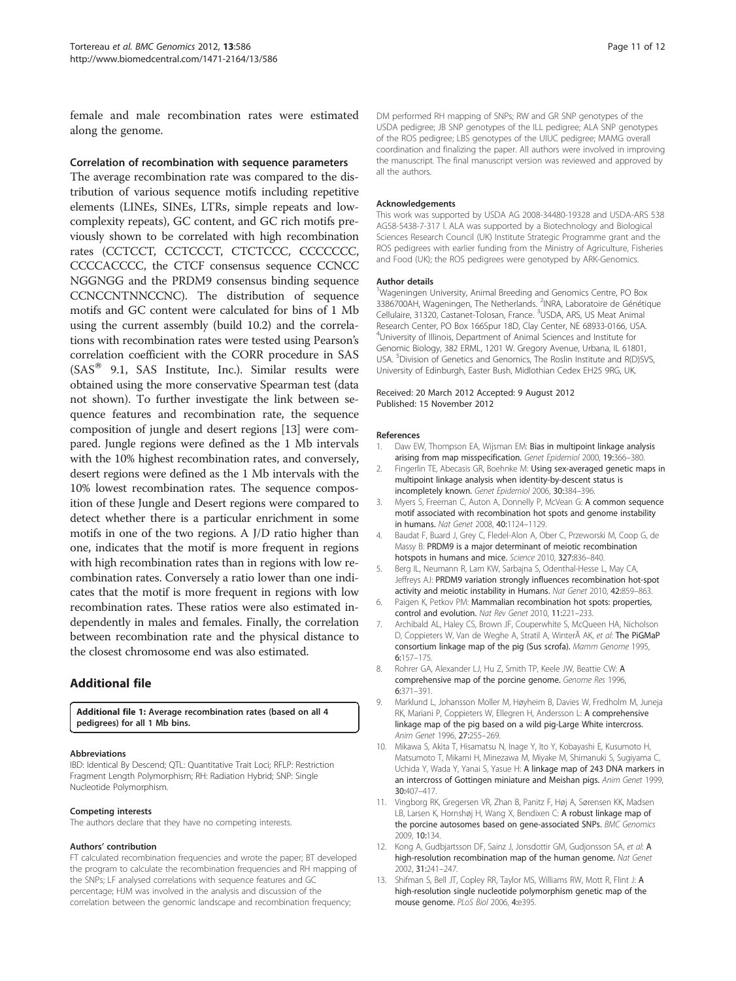<span id="page-11-0"></span>female and male recombination rates were estimated along the genome.

#### Correlation of recombination with sequence parameters

The average recombination rate was compared to the distribution of various sequence motifs including repetitive elements (LINEs, SINEs, LTRs, simple repeats and lowcomplexity repeats), GC content, and GC rich motifs previously shown to be correlated with high recombination rates (CCTCCT, CCTCCCT, CTCTCCC, CCCCCCC, CCCCACCCC, the CTCF consensus sequence CCNCC NGGNGG and the PRDM9 consensus binding sequence CCNCCNTNNCCNC). The distribution of sequence motifs and GC content were calculated for bins of 1 Mb using the current assembly (build 10.2) and the correlations with recombination rates were tested using Pearson's correlation coefficient with the CORR procedure in SAS  $(SAS<sup>®</sup> 9.1, SAS Institute, Inc.).$  Similar results were obtained using the more conservative Spearman test (data not shown). To further investigate the link between sequence features and recombination rate, the sequence composition of jungle and desert regions [13] were compared. Jungle regions were defined as the 1 Mb intervals with the 10% highest recombination rates, and conversely, desert regions were defined as the 1 Mb intervals with the 10% lowest recombination rates. The sequence composition of these Jungle and Desert regions were compared to detect whether there is a particular enrichment in some motifs in one of the two regions. A J/D ratio higher than one, indicates that the motif is more frequent in regions with high recombination rates than in regions with low recombination rates. Conversely a ratio lower than one indicates that the motif is more frequent in regions with low recombination rates. These ratios were also estimated independently in males and females. Finally, the correlation between recombination rate and the physical distance to the closest chromosome end was also estimated.

#### Additional file

[Additional file 1:](http://www.biomedcentral.com/content/supplementary/1471-2164-13-586-S1.txt) Average recombination rates (based on all 4 pedigrees) for all 1 Mb bins.

#### Abbreviations

IBD: Identical By Descend; QTL: Quantitative Trait Loci; RFLP: Restriction Fragment Length Polymorphism; RH: Radiation Hybrid; SNP: Single Nucleotide Polymorphism.

#### Competing interests

The authors declare that they have no competing interests.

#### Authors' contribution

FT calculated recombination frequencies and wrote the paper; BT developed the program to calculate the recombination frequencies and RH mapping of the SNPs; LF analysed correlations with sequence features and GC percentage; HJM was involved in the analysis and discussion of the correlation between the genomic landscape and recombination frequency;

DM performed RH mapping of SNPs; RW and GR SNP genotypes of the USDA pedigree; JB SNP genotypes of the ILL pedigree; ALA SNP genotypes of the ROS pedigree; LBS genotypes of the UIUC pedigree; MAMG overall coordination and finalizing the paper. All authors were involved in improving the manuscript. The final manuscript version was reviewed and approved by all the authors.

#### Acknowledgements

This work was supported by USDA AG 2008-34480-19328 and USDA-ARS 538 AG58-5438-7-317 l. ALA was supported by a Biotechnology and Biological Sciences Research Council (UK) Institute Strategic Programme grant and the ROS pedigrees with earlier funding from the Ministry of Agriculture, Fisheries and Food (UK); the ROS pedigrees were genotyped by ARK-Genomics.

#### Author details

<sup>1</sup>Wageningen University, Animal Breeding and Genomics Centre, PO Box 3386700AH, Wageningen, The Netherlands. <sup>2</sup>INRA, Laboratoire de Génétique Cellulaire, 31320, Castanet-Tolosan, France. <sup>3</sup>USDA, ARS, US Meat Animal Research Center, PO Box 166Spur 18D, Clay Center, NE 68933-0166, USA. 4 University of Illinois, Department of Animal Sciences and Institute for Genomic Biology, 382 ERML, 1201 W. Gregory Avenue, Urbana, IL 61801, USA. <sup>5</sup>Division of Genetics and Genomics, The Roslin Institute and R(D)SVS, University of Edinburgh, Easter Bush, Midlothian Cedex EH25 9RG, UK.

#### Received: 20 March 2012 Accepted: 9 August 2012 Published: 15 November 2012

#### References

- 1. Daw EW, Thompson EA, Wijsman EM: Bias in multipoint linkage analysis arising from map misspecification. Genet Epidemiol 2000, 19:366-380.
- 2. Fingerlin TE, Abecasis GR, Boehnke M: Using sex-averaged genetic maps in multipoint linkage analysis when identity-by-descent status is incompletely known. Genet Epidemiol 2006, 30:384–396.
- 3. Myers S, Freeman C, Auton A, Donnelly P, McVean G: A common sequence motif associated with recombination hot spots and genome instability in humans. Nat Genet 2008, 40:1124–1129.
- 4. Baudat F, Buard J, Grey C, Fledel-Alon A, Ober C, Przeworski M, Coop G, de Massy B: PRDM9 is a major determinant of meiotic recombination hotspots in humans and mice. Science 2010, 327:836-840.
- 5. Berg IL, Neumann R, Lam KW, Sarbajna S, Odenthal-Hesse L, May CA, Jeffreys AJ: PRDM9 variation strongly influences recombination hot-spot activity and meiotic instability in Humans. Nat Genet 2010, 42:859–863.
- 6. Paigen K, Petkov PM: Mammalian recombination hot spots: properties, control and evolution. Nat Rev Genet 2010, 11:221–233.
- 7. Archibald AL, Haley CS, Brown JF, Couperwhite S, McQueen HA, Nicholson D, Coppieters W, Van de Weghe A, Stratil A, WinterĂ AK, et al: The PiGMaP consortium linkage map of the pig (Sus scrofa). Mamm Genome 1995, 6:157–175.
- 8. Rohrer GA, Alexander LJ, Hu Z, Smith TP, Keele JW, Beattie CW: A comprehensive map of the porcine genome. Genome Res 1996, 6:371–391.
- 9. Marklund L, Johansson Moller M, Høyheim B, Davies W, Fredholm M, Juneja RK, Mariani P, Coppieters W, Ellegren H, Andersson L: A comprehensive linkage map of the pig based on a wild pig-Large White intercross. Anim Genet 1996, 27:255–269.
- 10. Mikawa S, Akita T, Hisamatsu N, Inage Y, Ito Y, Kobayashi E, Kusumoto H, Matsumoto T, Mikami H, Minezawa M, Miyake M, Shimanuki S, Sugiyama C, Uchida Y, Wada Y, Yanai S, Yasue H: A linkage map of 243 DNA markers in an intercross of Gottingen miniature and Meishan pigs. Anim Genet 1999, 30:407–417.
- 11. Vingborg RK, Gregersen VR, Zhan B, Panitz F, Høj A, Sørensen KK, Madsen LB, Larsen K, Hornshøj H, Wang X, Bendixen C: A robust linkage map of the porcine autosomes based on gene-associated SNPs. BMC Genomics 2009, 10:134.
- 12. Kong A, Gudbjartsson DF, Sainz J, Jonsdottir GM, Gudjonsson SA, et al: A high-resolution recombination map of the human genome. Nat Genet 2002, 31:241–247.
- 13. Shifman S, Bell JT, Copley RR, Taylor MS, Williams RW, Mott R, Flint J: A high-resolution single nucleotide polymorphism genetic map of the mouse genome. PLoS Biol 2006, 4:e395.